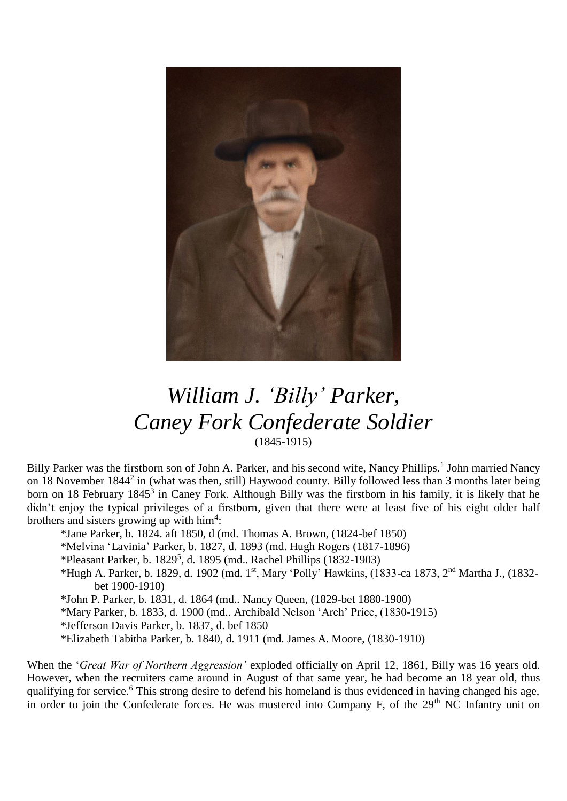

## *William J. 'Billy' Parker, Caney Fork Confederate Soldier* (1845-1915)

Billy Parker was the firstborn son of John A. Parker, and his second wife, Nancy Phillips.<sup>1</sup> John married Nancy on 18 November 1844<sup>2</sup> in (what was then, still) Haywood county. Billy followed less than 3 months later being born on 18 February 1845<sup>3</sup> in Caney Fork. Although Billy was the firstborn in his family, it is likely that he didn't enjoy the typical privileges of a firstborn, given that there were at least five of his eight older half brothers and sisters growing up with  $\text{him}^4$ :

- \*Jane Parker, b. 1824. aft 1850, d (md. Thomas A. Brown, (1824-bef 1850)
- \*Melvina 'Lavinia' Parker, b. 1827, d. 1893 (md. Hugh Rogers (1817-1896)
- $*$ Pleasant Parker, b. 1829<sup>5</sup>, d. 1895 (md.. Rachel Phillips (1832-1903)
- \*Hugh A. Parker, b. 1829, d. 1902 (md. 1st, Mary 'Polly' Hawkins, (1833-ca 1873, 2nd Martha J., (1832 bet 1900-1910)
- \*John P. Parker, b. 1831, d. 1864 (md.. Nancy Queen, (1829-bet 1880-1900)
- \*Mary Parker, b. 1833, d. 1900 (md.. Archibald Nelson 'Arch' Price, (1830-1915)
- \*Jefferson Davis Parker, b. 1837, d. bef 1850
- \*Elizabeth Tabitha Parker, b. 1840, d. 1911 (md. James A. Moore, (1830-1910)

When the '*Great War of Northern Aggression'* exploded officially on April 12, 1861, Billy was 16 years old. However, when the recruiters came around in August of that same year, he had become an 18 year old, thus qualifying for service.<sup>6</sup> This strong desire to defend his homeland is thus evidenced in having changed his age, in order to join the Confederate forces. He was mustered into Company F, of the 29<sup>th</sup> NC Infantry unit on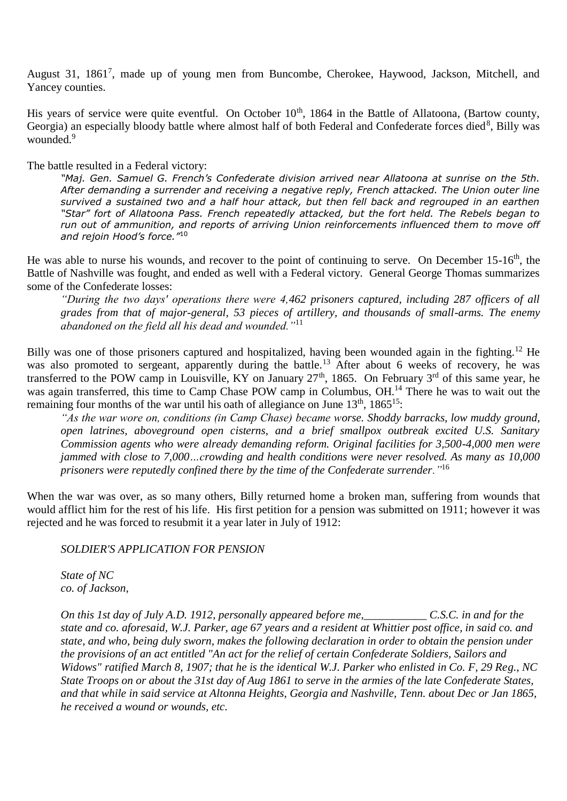August 31, 1861<sup>7</sup>, made up of young men from Buncombe, Cherokee, Haywood, Jackson, Mitchell, and Yancey counties.

His years of service were quite eventful. On October 10<sup>th</sup>, 1864 in the Battle of Allatoona, (Bartow county, Georgia) an especially bloody battle where almost half of both Federal and Confederate forces died<sup>8</sup>, Billy was wounded.<sup>9</sup>

The battle resulted in a Federal victory:

*"Maj. Gen. Samuel G. French's Confederate division arrived near Allatoona at sunrise on the 5th. After demanding a surrender and receiving a negative reply, French attacked. The Union outer line survived a sustained two and a half hour attack, but then fell back and regrouped in an earthen "Star" fort of Allatoona Pass. French repeatedly attacked, but the fort held. The Rebels began to run out of ammunition, and reports of arriving Union reinforcements influenced them to move off and rejoin Hood's force."*<sup>10</sup>

He was able to nurse his wounds, and recover to the point of continuing to serve. On December 15-16<sup>th</sup>, the Battle of Nashville was fought, and ended as well with a Federal victory. General George Thomas summarizes some of the Confederate losses:

*"During the two days' operations there were 4,462 prisoners captured, including 287 officers of all grades from that of major-general, 53 pieces of artillery, and thousands of small-arms. The enemy abandoned on the field all his dead and wounded."*<sup>11</sup>

Billy was one of those prisoners captured and hospitalized, having been wounded again in the fighting.<sup>12</sup> He was also promoted to sergeant, apparently during the battle.<sup>13</sup> After about 6 weeks of recovery, he was transferred to the POW camp in Louisville, KY on January  $27<sup>th</sup>$ , 1865. On February  $3<sup>rd</sup>$  of this same year, he was again transferred, this time to Camp Chase POW camp in Columbus, OH.<sup>14</sup> There he was to wait out the remaining four months of the war until his oath of allegiance on June  $13<sup>th</sup>$ ,  $1865<sup>15</sup>$ :

*"As the war wore on, conditions (in Camp Chase) became worse. Shoddy barracks, low muddy ground, open latrines, aboveground open cisterns, and a brief smallpox outbreak excited U.S. Sanitary Commission agents who were already demanding reform. Original facilities for 3,500-4,000 men were jammed with close to 7,000…crowding and health conditions were never resolved. As many as 10,000 prisoners were reputedly confined there by the time of the Confederate surrender."*<sup>16</sup>

When the war was over, as so many others, Billy returned home a broken man, suffering from wounds that would afflict him for the rest of his life. His first petition for a pension was submitted on 1911; however it was rejected and he was forced to resubmit it a year later in July of 1912:

*SOLDIER'S APPLICATION FOR PENSION*

*State of NC co. of Jackson,*

*On this 1st day of July A.D. 1912, personally appeared before me,\_\_\_\_\_\_\_\_\_\_\_ C.S.C. in and for the state and co. aforesaid, W.J. Parker, age 67 years and a resident at Whittier post office, in said co. and state, and who, being duly sworn, makes the following declaration in order to obtain the pension under the provisions of an act entitled "An act for the relief of certain Confederate Soldiers, Sailors and Widows" ratified March 8, 1907; that he is the identical W.J. Parker who enlisted in Co. F, 29 Reg., NC State Troops on or about the 31st day of Aug 1861 to serve in the armies of the late Confederate States, and that while in said service at Altonna Heights, Georgia and Nashville, Tenn. about Dec or Jan 1865, he received a wound or wounds, etc.*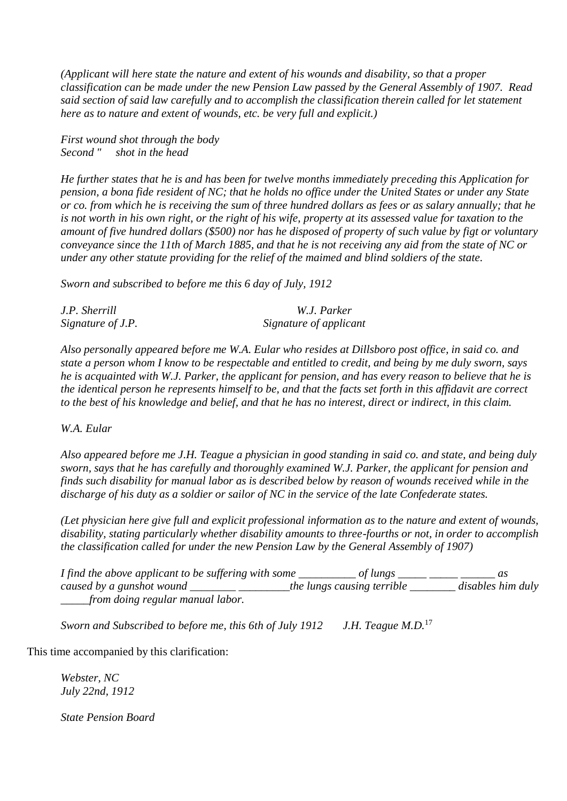*(Applicant will here state the nature and extent of his wounds and disability, so that a proper classification can be made under the new Pension Law passed by the General Assembly of 1907. Read said section of said law carefully and to accomplish the classification therein called for let statement here as to nature and extent of wounds, etc. be very full and explicit.)*

*First wound shot through the body Second " shot in the head*

*He further states that he is and has been for twelve months immediately preceding this Application for pension, a bona fide resident of NC; that he holds no office under the United States or under any State or co. from which he is receiving the sum of three hundred dollars as fees or as salary annually; that he is not worth in his own right, or the right of his wife, property at its assessed value for taxation to the amount of five hundred dollars (\$500) nor has he disposed of property of such value by figt or voluntary conveyance since the 11th of March 1885, and that he is not receiving any aid from the state of NC or under any other statute providing for the relief of the maimed and blind soldiers of the state.*

*Sworn and subscribed to before me this 6 day of July, 1912*

| J.P. Sherrill     | W.J. Parker            |  |
|-------------------|------------------------|--|
| Signature of J.P. | Signature of applicant |  |

*Also personally appeared before me W.A. Eular who resides at Dillsboro post office, in said co. and state a person whom I know to be respectable and entitled to credit, and being by me duly sworn, says he is acquainted with W.J. Parker, the applicant for pension, and has every reason to believe that he is the identical person he represents himself to be, and that the facts set forth in this affidavit are correct to the best of his knowledge and belief, and that he has no interest, direct or indirect, in this claim.*

## *W.A. Eular*

*Also appeared before me J.H. Teague a physician in good standing in said co. and state, and being duly sworn, says that he has carefully and thoroughly examined W.J. Parker, the applicant for pension and finds such disability for manual labor as is described below by reason of wounds received while in the discharge of his duty as a soldier or sailor of NC in the service of the late Confederate states.*

*(Let physician here give full and explicit professional information as to the nature and extent of wounds, disability, stating particularly whether disability amounts to three-fourths or not, in order to accomplish the classification called for under the new Pension Law by the General Assembly of 1907)*

| I find the above applicant to be suffering with some | ot lungs                   |                   |
|------------------------------------------------------|----------------------------|-------------------|
| caused by a gunshot wound                            | the lungs causing terrible | disables him duly |
| from doing regular manual labor.                     |                            |                   |

*Sworn and Subscribed to before me, this 6th of July 1912 J.H. Teague M.D.*<sup>17</sup>

This time accompanied by this clarification:

*Webster, NC July 22nd, 1912*

*State Pension Board*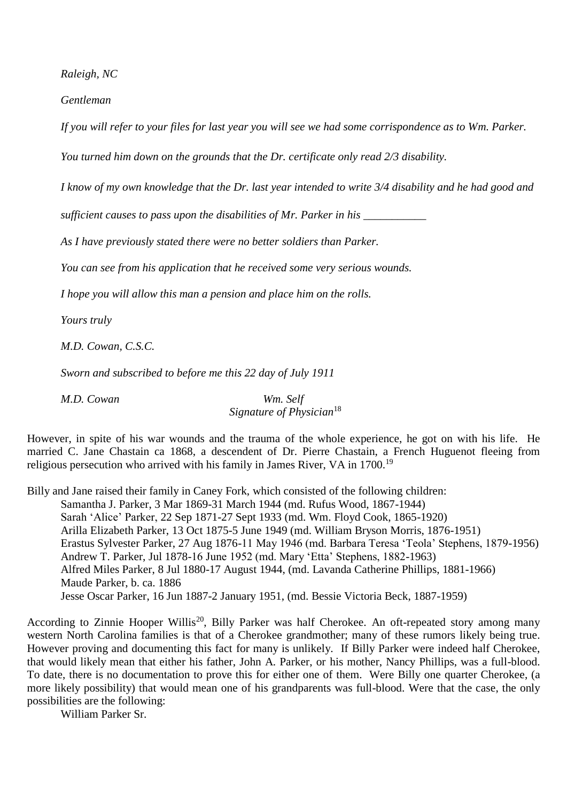*Raleigh, NC*

*Gentleman*

*If you will refer to your files for last year you will see we had some corrispondence as to Wm. Parker.*

*You turned him down on the grounds that the Dr. certificate only read 2/3 disability.*

*I know of my own knowledge that the Dr. last year intended to write 3/4 disability and he had good and* 

*sufficient causes to pass upon the disabilities of Mr. Parker in his \_\_\_\_\_\_\_\_\_\_\_*

*As I have previously stated there were no better soldiers than Parker.*

*You can see from his application that he received some very serious wounds.*

*I hope you will allow this man a pension and place him on the rolls.*

*Yours truly*

*M.D. Cowan, C.S.C.*

*Sworn and subscribed to before me this 22 day of July 1911*

*M.D. Cowan Wm. Self*

*Signature of Physician*<sup>18</sup>

However, in spite of his war wounds and the trauma of the whole experience, he got on with his life. He married C. Jane Chastain ca 1868, a descendent of Dr. Pierre Chastain, a French Huguenot fleeing from religious persecution who arrived with his family in James River, VA in 1700.<sup>19</sup>

Billy and Jane raised their family in Caney Fork, which consisted of the following children: Samantha J. Parker, 3 Mar 1869-31 March 1944 (md. Rufus Wood, 1867-1944) Sarah 'Alice' Parker, 22 Sep 1871-27 Sept 1933 (md. Wm. Floyd Cook, 1865-1920) Arilla Elizabeth Parker, 13 Oct 1875-5 June 1949 (md. William Bryson Morris, 1876-1951) Erastus Sylvester Parker, 27 Aug 1876-11 May 1946 (md. Barbara Teresa 'Teola' Stephens, 1879-1956) Andrew T. Parker, Jul 1878-16 June 1952 (md. Mary 'Etta' Stephens, 1882-1963) Alfred Miles Parker, 8 Jul 1880-17 August 1944, (md. Lavanda Catherine Phillips, 1881-1966) Maude Parker, b. ca. 1886 Jesse Oscar Parker, 16 Jun 1887-2 January 1951, (md. Bessie Victoria Beck, 1887-1959)

According to Zinnie Hooper Willis<sup>20</sup>, Billy Parker was half Cherokee. An oft-repeated story among many western North Carolina families is that of a Cherokee grandmother; many of these rumors likely being true. However proving and documenting this fact for many is unlikely. If Billy Parker were indeed half Cherokee, that would likely mean that either his father, John A. Parker, or his mother, Nancy Phillips, was a full-blood. To date, there is no documentation to prove this for either one of them. Were Billy one quarter Cherokee, (a more likely possibility) that would mean one of his grandparents was full-blood. Were that the case, the only possibilities are the following:

William Parker Sr.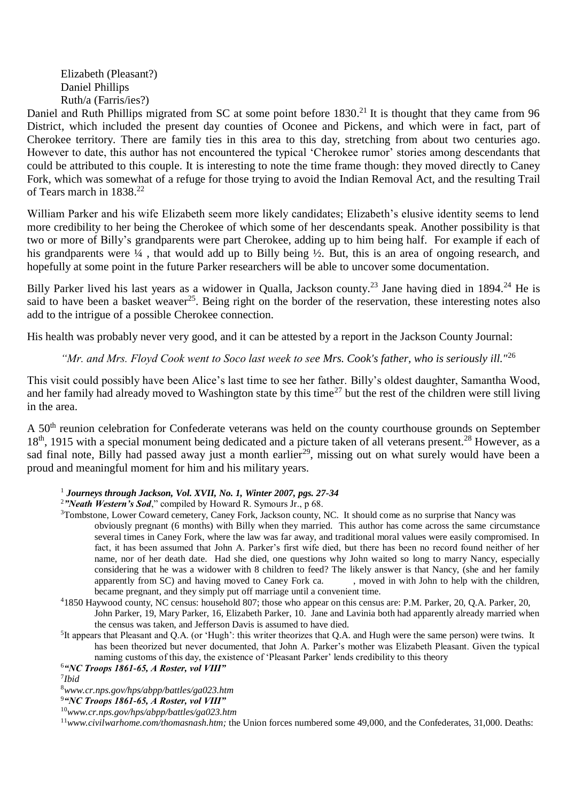Elizabeth (Pleasant?) Daniel Phillips Ruth/a (Farris/ies?)

Daniel and Ruth Phillips migrated from SC at some point before 1830.<sup>21</sup> It is thought that they came from 96 District, which included the present day counties of Oconee and Pickens, and which were in fact, part of Cherokee territory. There are family ties in this area to this day, stretching from about two centuries ago. However to date, this author has not encountered the typical 'Cherokee rumor' stories among descendants that could be attributed to this couple. It is interesting to note the time frame though: they moved directly to Caney Fork, which was somewhat of a refuge for those trying to avoid the Indian Removal Act, and the resulting Trail of Tears march in 1838.<sup>22</sup>

William Parker and his wife Elizabeth seem more likely candidates; Elizabeth's elusive identity seems to lend more credibility to her being the Cherokee of which some of her descendants speak. Another possibility is that two or more of Billy's grandparents were part Cherokee, adding up to him being half. For example if each of his grandparents were  $\frac{1}{4}$ , that would add up to Billy being  $\frac{1}{2}$ . But, this is an area of ongoing research, and hopefully at some point in the future Parker researchers will be able to uncover some documentation.

Billy Parker lived his last years as a widower in Qualla, Jackson county.<sup>23</sup> Jane having died in 1894.<sup>24</sup> He is said to have been a basket weaver<sup>25</sup>. Being right on the border of the reservation, these interesting notes also add to the intrigue of a possible Cherokee connection.

His health was probably never very good, and it can be attested by a report in the Jackson County Journal:

*"Mr. and Mrs. Floyd Cook went to Soco last week to see Mrs. Cook's father, who is seriously ill."*<sup>26</sup>

This visit could possibly have been Alice's last time to see her father. Billy's oldest daughter, Samantha Wood, and her family had already moved to Washington state by this time<sup>27</sup> but the rest of the children were still living in the area.

A 50<sup>th</sup> reunion celebration for Confederate veterans was held on the county courthouse grounds on September  $18<sup>th</sup>$ , 1915 with a special monument being dedicated and a picture taken of all veterans present.<sup>28</sup> However, as a sad final note, Billy had passed away just a month earlier<sup>29</sup>, missing out on what surely would have been a proud and meaningful moment for him and his military years.

- <sup>1</sup> *Journeys through Jackson, Vol. XVII, No. 1, Winter 2007, pgs. 27-34*
- <sup>2</sup>*"Neath Western's Sod*," compiled by Howard R. Symours Jr., p 68.
- <sup>3</sup>Tombstone, Lower Coward cemetery, Caney Fork, Jackson county, NC. It should come as no surprise that Nancy was obviously pregnant (6 months) with Billy when they married. This author has come across the same circumstance several times in Caney Fork, where the law was far away, and traditional moral values were easily compromised. In fact, it has been assumed that John A. Parker's first wife died, but there has been no record found neither of her name, nor of her death date. Had she died, one questions why John waited so long to marry Nancy, especially considering that he was a widower with 8 children to feed? The likely answer is that Nancy, (she and her family apparently from SC) and having moved to Caney Fork ca. , moved in with John to help with the children, became pregnant, and they simply put off marriage until a convenient time.
- <sup>4</sup>1850 Haywood county, NC census: household 807; those who appear on this census are: P.M. Parker, 20, Q.A. Parker, 20, John Parker, 19, Mary Parker, 16, Elizabeth Parker, 10. Jane and Lavinia both had apparently already married when the census was taken, and Jefferson Davis is assumed to have died.
- <sup>5</sup>It appears that Pleasant and Q.A. (or 'Hugh': this writer theorizes that Q.A. and Hugh were the same person) were twins. It has been theorized but never documented, that John A. Parker's mother was Elizabeth Pleasant. Given the typical naming customs of this day, the existence of 'Pleasant Parker' lends credibility to this theory

7 *Ibid*

<sup>8</sup>*www.cr.nps.gov/hps/abpp/battles/ga023.htm*

<sup>9</sup>*"NC Troops 1861-65, A Roster, vol VIII"*

<sup>10</sup>*www.cr.nps.gov/hps/abpp/battles/ga023.htm*

<sup>6</sup>*"NC Troops 1861-65, A Roster, vol VIII"*

<sup>11</sup>*www.civilwarhome.com/thomasnash.htm;* the Union forces numbered some 49,000, and the Confederates, 31,000. Deaths: